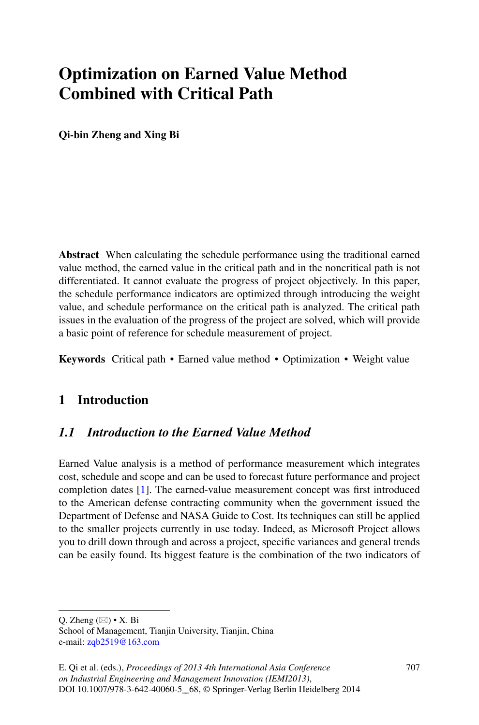# **Optimization on Earned Value Method Combined with Critical Path**

**Qi-bin Zheng and Xing Bi**

**Abstract** When calculating the schedule performance using the traditional earned value method, the earned value in the critical path and in the noncritical path is not differentiated. It cannot evaluate the progress of project objectively. In this paper, the schedule performance indicators are optimized through introducing the weight value, and schedule performance on the critical path is analyzed. The critical path issues in the evaluation of the progress of the project are solved, which will provide a basic point of reference for schedule measurement of project.

**Keywords** Critical path • Earned value method • Optimization • Weight value

# **1 Introduction**

# *1.1 Introduction to the Earned Value Method*

Earned Value analysis is a method of performance measurement which integrates cost, schedule and scope and can be used to forecast future performance and project completion dates [\[1\]](#page-7-0). The earned-value measurement concept was first introduced to the American defense contracting community when the government issued the Department of Defense and NASA Guide to Cost. Its techniques can still be applied to the smaller projects currently in use today. Indeed, as Microsoft Project allows you to drill down through and across a project, specific variances and general trends can be easily found. Its biggest feature is the combination of the two indicators of

Q. Zheng ( $\boxtimes$ ) • X. Bi

School of Management, Tianjin University, Tianjin, China e-mail: [zqb2519@163.com](mailto:zqb2519@163.com)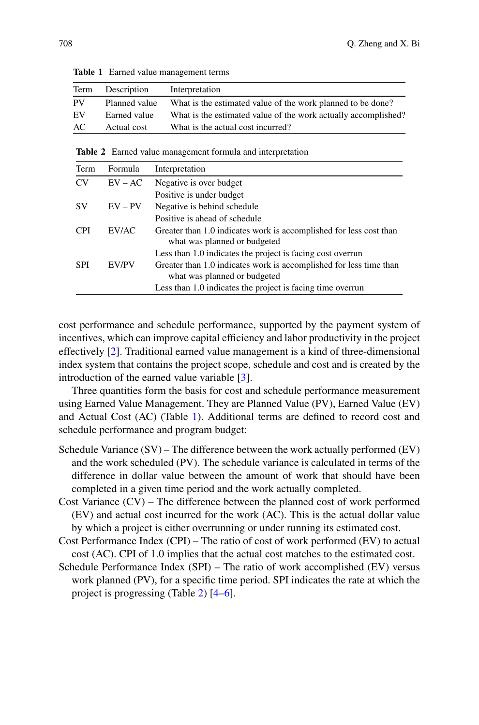<span id="page-1-0"></span>

| Term      | Description   | Interpretation                                                 |
|-----------|---------------|----------------------------------------------------------------|
| <b>PV</b> | Planned value | What is the estimated value of the work planned to be done?    |
| EV        | Earned value  | What is the estimated value of the work actually accomplished? |
| AC        | Actual cost   | What is the actual cost incurred?                              |

**Table 1** Earned value management terms

<span id="page-1-1"></span>**Table 2** Earned value management formula and interpretation

| Term       | Formula   | Interpretation                                                                                     |
|------------|-----------|----------------------------------------------------------------------------------------------------|
| CV         | $EV-AC$   | Negative is over budget                                                                            |
|            |           | Positive is under budget                                                                           |
| SV         | $EV - PV$ | Negative is behind schedule                                                                        |
|            |           | Positive is ahead of schedule                                                                      |
| <b>CPI</b> | EV/AC     | Greater than 1.0 indicates work is accomplished for less cost than<br>what was planned or budgeted |
|            |           | Less than 1.0 indicates the project is facing cost overrun                                         |
| <b>SPI</b> | EV/PV     | Greater than 1.0 indicates work is accomplished for less time than<br>what was planned or budgeted |
|            |           | Less than 1.0 indicates the project is facing time overrun                                         |
|            |           |                                                                                                    |

cost performance and schedule performance, supported by the payment system of incentives, which can improve capital efficiency and labor productivity in the project effectively [\[2\]](#page-7-1). Traditional earned value management is a kind of three-dimensional index system that contains the project scope, schedule and cost and is created by the introduction of the earned value variable [\[3\]](#page-7-2).

Three quantities form the basis for cost and schedule performance measurement using Earned Value Management. They are Planned Value (PV), Earned Value (EV) and Actual Cost (AC) (Table [1\)](#page-1-0). Additional terms are defined to record cost and schedule performance and program budget:

- Schedule Variance  $(SV)$  The difference between the work actually performed  $(EV)$ and the work scheduled (PV). The schedule variance is calculated in terms of the difference in dollar value between the amount of work that should have been completed in a given time period and the work actually completed.
- Cost Variance (CV) The difference between the planned cost of work performed (EV) and actual cost incurred for the work (AC). This is the actual dollar value by which a project is either overrunning or under running its estimated cost.
- Cost Performance Index (CPI) The ratio of cost of work performed (EV) to actual cost (AC). CPI of 1.0 implies that the actual cost matches to the estimated cost.
- Schedule Performance Index (SPI) The ratio of work accomplished (EV) versus work planned (PV), for a specific time period. SPI indicates the rate at which the project is progressing (Table [2\)](#page-1-1) [\[4–](#page-7-3)[6\]](#page-7-4).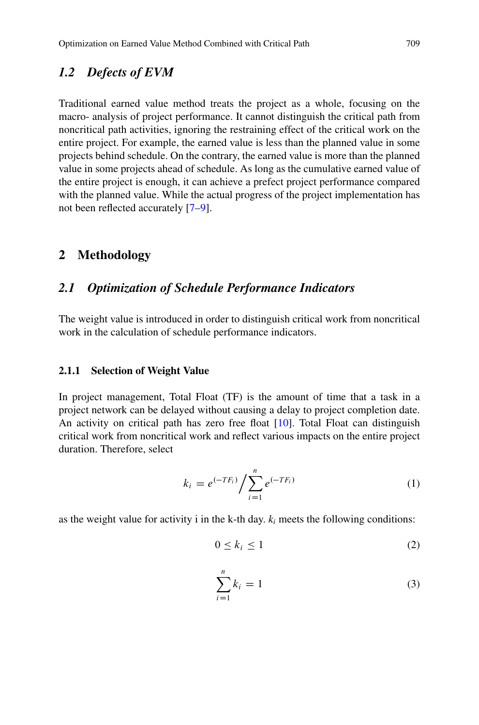### *1.2 Defects of EVM*

Traditional earned value method treats the project as a whole, focusing on the macro- analysis of project performance. It cannot distinguish the critical path from noncritical path activities, ignoring the restraining effect of the critical work on the entire project. For example, the earned value is less than the planned value in some projects behind schedule. On the contrary, the earned value is more than the planned value in some projects ahead of schedule. As long as the cumulative earned value of the entire project is enough, it can achieve a prefect project performance compared with the planned value. While the actual progress of the project implementation has not been reflected accurately [\[7–](#page-7-5)[9\]](#page-7-6).

### **2 Methodology**

# *2.1 Optimization of Schedule Performance Indicators*

The weight value is introduced in order to distinguish critical work from noncritical work in the calculation of schedule performance indicators.

#### **2.1.1 Selection of Weight Value**

In project management, Total Float (TF) is the amount of time that a task in a project network can be delayed without causing a delay to project completion date. An activity on critical path has zero free float [\[10\]](#page-7-7). Total Float can distinguish critical work from noncritical work and reflect various impacts on the entire project duration. Therefore, select

$$
k_i = e^{(-TF_i)} / \sum_{i=1}^{n} e^{(-TF_i)}
$$
 (1)

as the weight value for activity i in the k-th day.  $k_i$  meets the following conditions:

$$
0 \le k_i \le 1 \tag{2}
$$

$$
\sum_{i=1}^{n} k_i = 1 \tag{3}
$$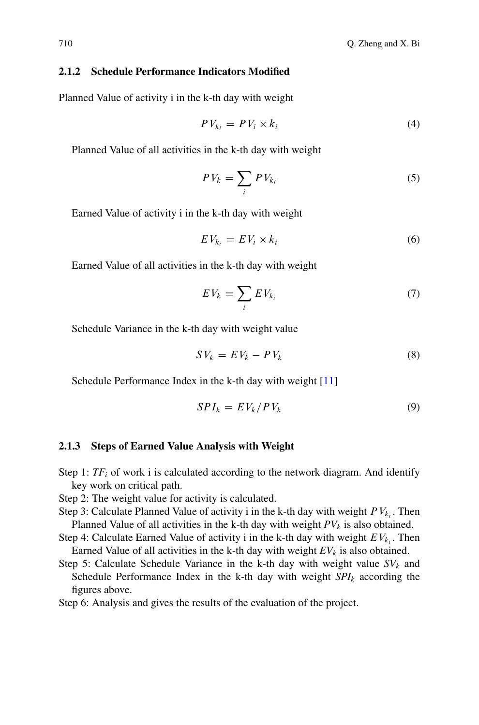#### **2.1.2 Schedule Performance Indicators Modified**

Planned Value of activity i in the k-th day with weight

$$
PV_{k_i} = PV_i \times k_i \tag{4}
$$

Planned Value of all activities in the k-th day with weight

$$
PV_k = \sum_i PV_{k_i} \tag{5}
$$

Earned Value of activity i in the k-th day with weight

$$
EV_{k_i} = EV_i \times k_i \tag{6}
$$

Earned Value of all activities in the k-th day with weight

$$
EV_k = \sum_i EV_{k_i} \tag{7}
$$

Schedule Variance in the k-th day with weight value

$$
SV_k = EV_k - PV_k \tag{8}
$$

Schedule Performance Index in the k-th day with weight [\[11\]](#page-7-8)

$$
SPI_k = EV_k / PV_k \tag{9}
$$

#### **2.1.3 Steps of Earned Value Analysis with Weight**

- Step 1:  $TF_i$  of work i is calculated according to the network diagram. And identify key work on critical path.
- Step 2: The weight value for activity is calculated.
- Step 3: Calculate Planned Value of activity i in the k-th day with weight  $PV_{k_i}$ . Then Planned Value of all activities in the k-th day with weight  $PV_k$  is also obtained.
- Step 4: Calculate Earned Value of activity i in the k-th day with weight  $EV_{k_i}$ . Then Earned Value of all activities in the k-th day with weight  $EV_k$  is also obtained.
- Step 5: Calculate Schedule Variance in the k-th day with weight value  $SV_k$  and Schedule Performance Index in the k-th day with weight *SPIk* according the figures above.

Step 6: Analysis and gives the results of the evaluation of the project.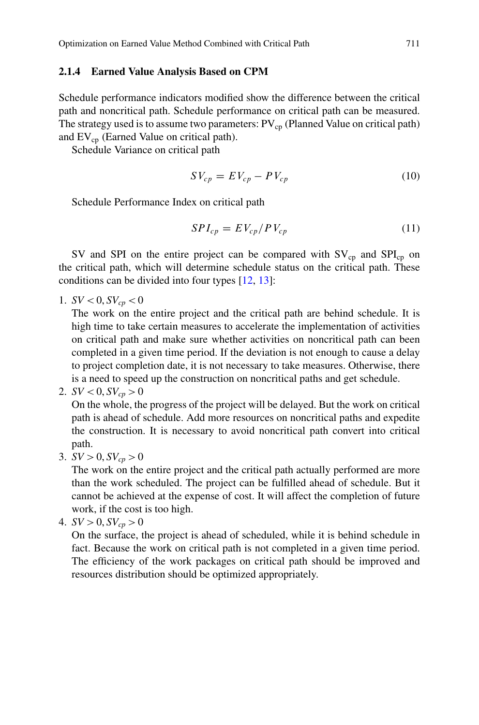#### **2.1.4 Earned Value Analysis Based on CPM**

Schedule performance indicators modified show the difference between the critical path and noncritical path. Schedule performance on critical path can be measured. The strategy used is to assume two parameters:  $PV_{cp}$  (Planned Value on critical path) and  $EV_{cn}$  (Earned Value on critical path).

Schedule Variance on critical path

$$
SV_{cp} = EV_{cp} - PV_{cp}
$$
\n<sup>(10)</sup>

Schedule Performance Index on critical path

$$
SPI_{cp} = EV_{cp}/PV_{cp}
$$
 (11)

SV and SPI on the entire project can be compared with  $SV_{cp}$  and  $SPI_{cp}$  on the critical path, which will determine schedule status on the critical path. These conditions can be divided into four types [\[12,](#page-7-9) [13\]](#page-7-10):

1.  $SV < 0, SV_{cn} < 0$ 

The work on the entire project and the critical path are behind schedule. It is high time to take certain measures to accelerate the implementation of activities on critical path and make sure whether activities on noncritical path can been completed in a given time period. If the deviation is not enough to cause a delay to project completion date, it is not necessary to take measures. Otherwise, there is a need to speed up the construction on noncritical paths and get schedule.

2.  $SV < 0, SV_{cp} > 0$ 

On the whole, the progress of the project will be delayed. But the work on critical path is ahead of schedule. Add more resources on noncritical paths and expedite the construction. It is necessary to avoid noncritical path convert into critical path.

3.  $SV > 0$ ,  $SV_{cp} > 0$ 

The work on the entire project and the critical path actually performed are more than the work scheduled. The project can be fulfilled ahead of schedule. But it cannot be achieved at the expense of cost. It will affect the completion of future work, if the cost is too high.

4. 
$$
SV > 0
$$
,  $SV_{cp} > 0$ 

On the surface, the project is ahead of scheduled, while it is behind schedule in fact. Because the work on critical path is not completed in a given time period. The efficiency of the work packages on critical path should be improved and resources distribution should be optimized appropriately.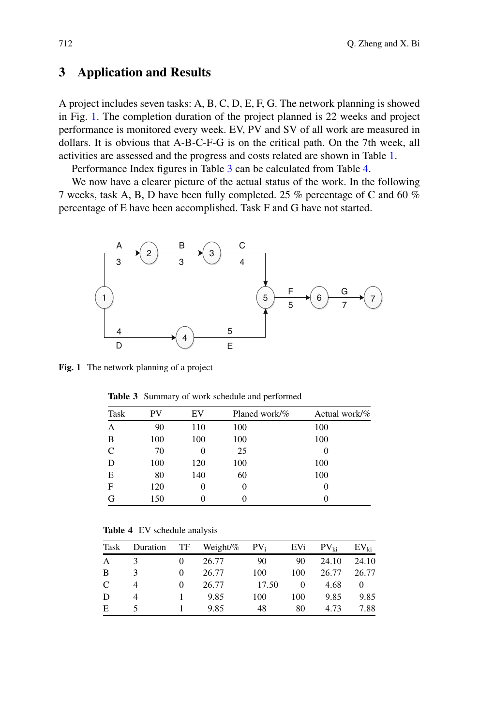# **3 Application and Results**

A project includes seven tasks: A, B, C, D, E, F, G. The network planning is showed in Fig. [1.](#page-5-0) The completion duration of the project planned is 22 weeks and project performance is monitored every week. EV, PV and SV of all work are measured in dollars. It is obvious that A-B-C-F-G is on the critical path. On the 7th week, all activities are assessed and the progress and costs related are shown in Table [1.](#page-1-0)

Performance Index figures in Table [3](#page-5-1) can be calculated from Table [4.](#page-5-2)

We now have a clearer picture of the actual status of the work. In the following 7 weeks, task A, B, D have been fully completed. 25 % percentage of C and 60 % percentage of E have been accomplished. Task F and G have not started.



<span id="page-5-0"></span>**Fig. 1** The network planning of a project

<span id="page-5-1"></span>**Table 3** Summary of work schedule and performed

| Task | PV  | EV  | Planed work/% | Actual work/% |  |  |
|------|-----|-----|---------------|---------------|--|--|
| A    | 90  | 110 | 100           | 100           |  |  |
| B    | 100 | 100 | 100           | 100           |  |  |
| C    | 70  | 0   | 25            |               |  |  |
| D    | 100 | 120 | 100           | 100           |  |  |
| Е    | 80  | 140 | 60            | 100           |  |  |
| F    | 120 | 0   |               | 0             |  |  |
| G    | 150 |     |               |               |  |  |

**Table 4** EV schedule analysis

<span id="page-5-2"></span>

| Task | Duration      | TF | Weight/ $%$ | $PV_i$ | EVi      | $PV_{ki}$ | $EV_{ki}$ |
|------|---------------|----|-------------|--------|----------|-----------|-----------|
| A    |               |    | 26.77       | 90     | 90       | 24.10     | 24.10     |
| B    | $\mathcal{R}$ |    | 26.77       | 100    | 100      | 26.77     | 26.77     |
| C    |               |    | 26.77       | 17.50  | $\theta$ | 4.68      | $\Omega$  |
| D    |               |    | 9.85        | 100    | 100      | 9.85      | 9.85      |
| E    |               |    | 9.85        | 48     | 80       | 4.73      | 7.88      |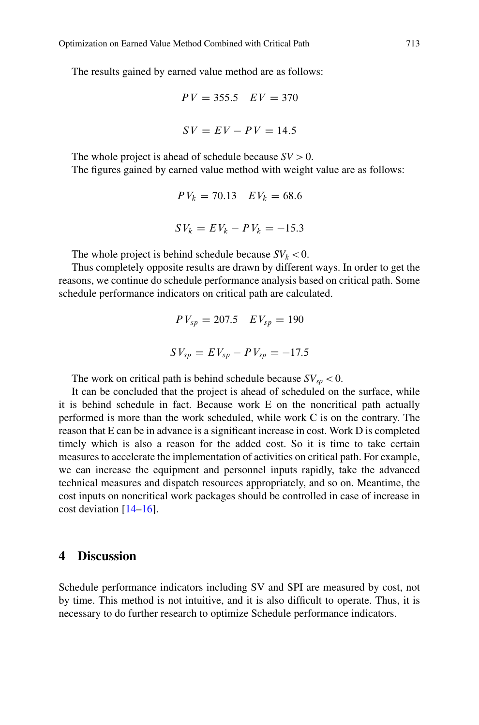The results gained by earned value method are as follows:

$$
PV = 355.5 \quad EV = 370
$$

$$
SV = EV - PV = 14.5
$$

The whole project is ahead of schedule because  $SV > 0$ . The figures gained by earned value method with weight value are as follows:

$$
PV_k = 70.13 \quad EV_k = 68.6
$$
  

$$
SV_k = EV_k - PV_k = -15.3
$$

The whole project is behind schedule because  $SV_k < 0$ .

Thus completely opposite results are drawn by different ways. In order to get the reasons, we continue do schedule performance analysis based on critical path. Some schedule performance indicators on critical path are calculated.

$$
PV_{sp} = 207.5 \tEV_{sp} = 190
$$
  

$$
SV_{sp} = EV_{sp} - PV_{sp} = -17.5
$$

The work on critical path is behind schedule because  $SV_{sp} < 0$ .

It can be concluded that the project is ahead of scheduled on the surface, while it is behind schedule in fact. Because work E on the noncritical path actually performed is more than the work scheduled, while work C is on the contrary. The reason that E can be in advance is a significant increase in cost. Work D is completed timely which is also a reason for the added cost. So it is time to take certain measures to accelerate the implementation of activities on critical path. For example, we can increase the equipment and personnel inputs rapidly, take the advanced technical measures and dispatch resources appropriately, and so on. Meantime, the cost inputs on noncritical work packages should be controlled in case of increase in cost deviation [\[14–](#page-8-0)[16\]](#page-8-1).

#### **4 Discussion**

Schedule performance indicators including SV and SPI are measured by cost, not by time. This method is not intuitive, and it is also difficult to operate. Thus, it is necessary to do further research to optimize Schedule performance indicators.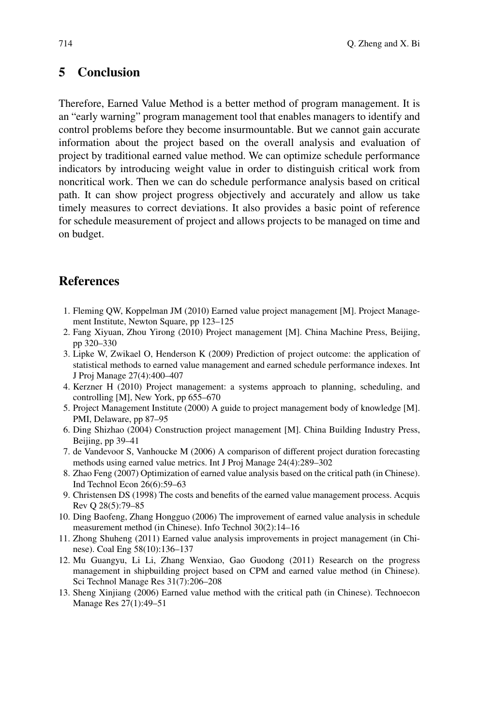## **5 Conclusion**

Therefore, Earned Value Method is a better method of program management. It is an "early warning" program management tool that enables managers to identify and control problems before they become insurmountable. But we cannot gain accurate information about the project based on the overall analysis and evaluation of project by traditional earned value method. We can optimize schedule performance indicators by introducing weight value in order to distinguish critical work from noncritical work. Then we can do schedule performance analysis based on critical path. It can show project progress objectively and accurately and allow us take timely measures to correct deviations. It also provides a basic point of reference for schedule measurement of project and allows projects to be managed on time and on budget.

### **References**

- <span id="page-7-0"></span>1. Fleming QW, Koppelman JM (2010) Earned value project management [M]. Project Management Institute, Newton Square, pp 123–125
- <span id="page-7-1"></span>2. Fang Xiyuan, Zhou Yirong (2010) Project management [M]. China Machine Press, Beijing, pp 320–330
- <span id="page-7-2"></span>3. Lipke W, Zwikael O, Henderson K (2009) Prediction of project outcome: the application of statistical methods to earned value management and earned schedule performance indexes. Int J Proj Manage 27(4):400–407
- <span id="page-7-3"></span>4. Kerzner H (2010) Project management: a systems approach to planning, scheduling, and controlling [M], New York, pp 655–670
- 5. Project Management Institute (2000) A guide to project management body of knowledge [M]. PMI, Delaware, pp 87–95
- <span id="page-7-4"></span>6. Ding Shizhao (2004) Construction project management [M]. China Building Industry Press, Beijing, pp 39–41
- <span id="page-7-5"></span>7. de Vandevoor S, Vanhoucke M (2006) A comparison of different project duration forecasting methods using earned value metrics. Int J Proj Manage 24(4):289–302
- 8. Zhao Feng (2007) Optimization of earned value analysis based on the critical path (in Chinese). Ind Technol Econ 26(6):59–63
- <span id="page-7-6"></span>9. Christensen DS (1998) The costs and benefits of the earned value management process. Acquis Rev Q 28(5):79–85
- <span id="page-7-7"></span>10. Ding Baofeng, Zhang Hongguo (2006) The improvement of earned value analysis in schedule measurement method (in Chinese). Info Technol 30(2):14–16
- <span id="page-7-8"></span>11. Zhong Shuheng (2011) Earned value analysis improvements in project management (in Chinese). Coal Eng 58(10):136–137
- <span id="page-7-9"></span>12. Mu Guangyu, Li Li, Zhang Wenxiao, Gao Guodong (2011) Research on the progress management in shipbuilding project based on CPM and earned value method (in Chinese). Sci Technol Manage Res 31(7):206–208
- <span id="page-7-10"></span>13. Sheng Xinjiang (2006) Earned value method with the critical path (in Chinese). Technoecon Manage Res 27(1):49–51